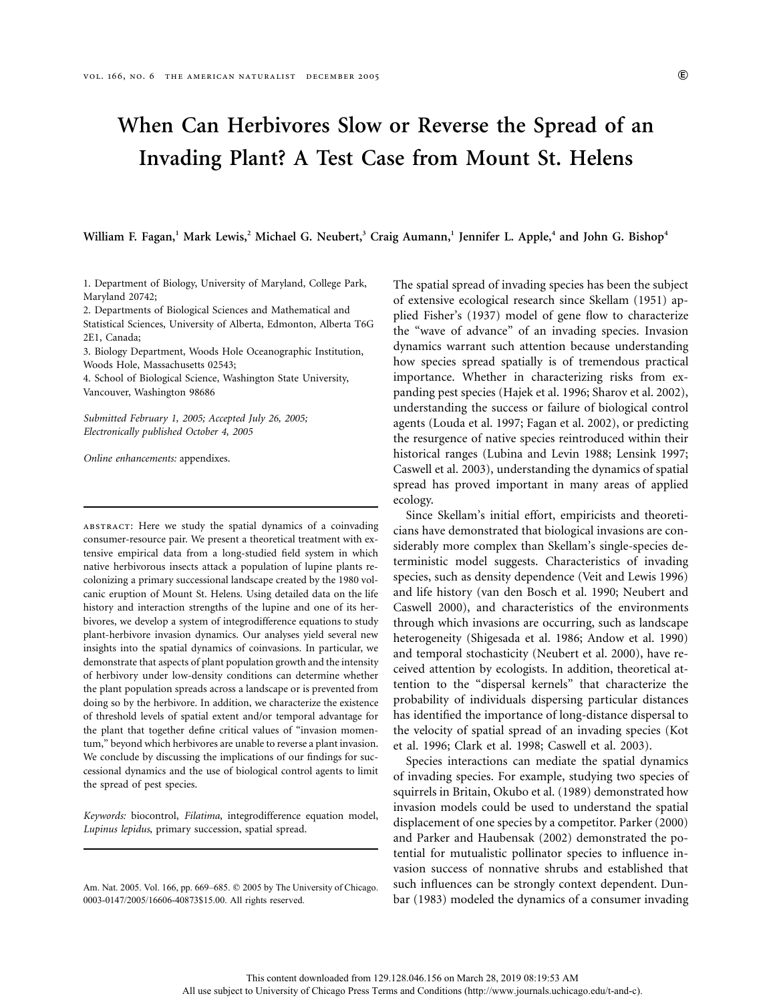# **When Can Herbivores Slow or Reverse the Spread of an Invading Plant? A Test Case from Mount St. Helens**

# **William F. Fagan,1 Mark Lewis,<sup>2</sup> Michael G. Neubert,3 Craig Aumann,<sup>1</sup> Jennifer L. Apple,<sup>4</sup> and John G. Bishop<sup>4</sup>**

1. Department of Biology, University of Maryland, College Park, Maryland 20742;

2. Departments of Biological Sciences and Mathematical and Statistical Sciences, University of Alberta, Edmonton, Alberta T6G 2E1, Canada;

3. Biology Department, Woods Hole Oceanographic Institution, Woods Hole, Massachusetts 02543;

4. School of Biological Science, Washington State University, Vancouver, Washington 98686

*Submitted February 1, 2005; Accepted July 26, 2005; Electronically published October 4, 2005*

*Online enhancements:* appendixes.

abstract: Here we study the spatial dynamics of a coinvading consumer-resource pair. We present a theoretical treatment with extensive empirical data from a long-studied field system in which native herbivorous insects attack a population of lupine plants recolonizing a primary successional landscape created by the 1980 volcanic eruption of Mount St. Helens. Using detailed data on the life history and interaction strengths of the lupine and one of its herbivores, we develop a system of integrodifference equations to study plant-herbivore invasion dynamics. Our analyses yield several new insights into the spatial dynamics of coinvasions. In particular, we demonstrate that aspects of plant population growth and the intensity of herbivory under low-density conditions can determine whether the plant population spreads across a landscape or is prevented from doing so by the herbivore. In addition, we characterize the existence of threshold levels of spatial extent and/or temporal advantage for the plant that together define critical values of "invasion momentum," beyond which herbivores are unable to reverse a plant invasion. We conclude by discussing the implications of our findings for successional dynamics and the use of biological control agents to limit the spread of pest species.

*Keywords:* biocontrol, *Filatima*, integrodifference equation model, *Lupinus lepidus*, primary succession, spatial spread.

Am. Nat. 2005. Vol. 166, pp. 669-685.  $\oslash$  2005 by The University of Chicago. 0003-0147/2005/16606-40873\$15.00. All rights reserved.

The spatial spread of invading species has been the subject of extensive ecological research since Skellam (1951) applied Fisher's (1937) model of gene flow to characterize the "wave of advance" of an invading species. Invasion dynamics warrant such attention because understanding how species spread spatially is of tremendous practical importance. Whether in characterizing risks from expanding pest species (Hajek et al. 1996; Sharov et al. 2002), understanding the success or failure of biological control agents (Louda et al. 1997; Fagan et al. 2002), or predicting the resurgence of native species reintroduced within their historical ranges (Lubina and Levin 1988; Lensink 1997; Caswell et al. 2003), understanding the dynamics of spatial spread has proved important in many areas of applied ecology.

Since Skellam's initial effort, empiricists and theoreticians have demonstrated that biological invasions are considerably more complex than Skellam's single-species deterministic model suggests. Characteristics of invading species, such as density dependence (Veit and Lewis 1996) and life history (van den Bosch et al. 1990; Neubert and Caswell 2000), and characteristics of the environments through which invasions are occurring, such as landscape heterogeneity (Shigesada et al. 1986; Andow et al. 1990) and temporal stochasticity (Neubert et al. 2000), have received attention by ecologists. In addition, theoretical attention to the "dispersal kernels" that characterize the probability of individuals dispersing particular distances has identified the importance of long-distance dispersal to the velocity of spatial spread of an invading species (Kot et al. 1996; Clark et al. 1998; Caswell et al. 2003).

Species interactions can mediate the spatial dynamics of invading species. For example, studying two species of squirrels in Britain, Okubo et al. (1989) demonstrated how invasion models could be used to understand the spatial displacement of one species by a competitor. Parker (2000) and Parker and Haubensak (2002) demonstrated the potential for mutualistic pollinator species to influence invasion success of nonnative shrubs and established that such influences can be strongly context dependent. Dunbar (1983) modeled the dynamics of a consumer invading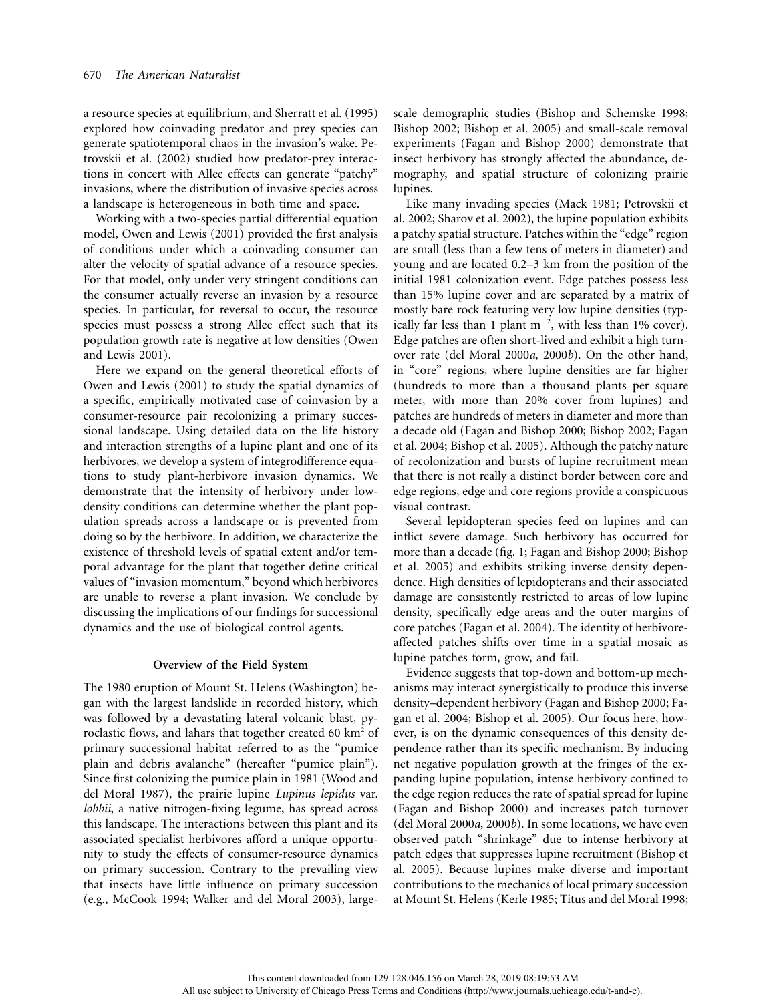a resource species at equilibrium, and Sherratt et al. (1995) explored how coinvading predator and prey species can generate spatiotemporal chaos in the invasion's wake. Petrovskii et al. (2002) studied how predator-prey interactions in concert with Allee effects can generate "patchy" invasions, where the distribution of invasive species across a landscape is heterogeneous in both time and space.

Working with a two-species partial differential equation model, Owen and Lewis (2001) provided the first analysis of conditions under which a coinvading consumer can alter the velocity of spatial advance of a resource species. For that model, only under very stringent conditions can the consumer actually reverse an invasion by a resource species. In particular, for reversal to occur, the resource species must possess a strong Allee effect such that its population growth rate is negative at low densities (Owen and Lewis 2001).

Here we expand on the general theoretical efforts of Owen and Lewis (2001) to study the spatial dynamics of a specific, empirically motivated case of coinvasion by a consumer-resource pair recolonizing a primary successional landscape. Using detailed data on the life history and interaction strengths of a lupine plant and one of its herbivores, we develop a system of integrodifference equations to study plant-herbivore invasion dynamics. We demonstrate that the intensity of herbivory under lowdensity conditions can determine whether the plant population spreads across a landscape or is prevented from doing so by the herbivore. In addition, we characterize the existence of threshold levels of spatial extent and/or temporal advantage for the plant that together define critical values of "invasion momentum," beyond which herbivores are unable to reverse a plant invasion. We conclude by discussing the implications of our findings for successional dynamics and the use of biological control agents.

### **Overview of the Field System**

The 1980 eruption of Mount St. Helens (Washington) began with the largest landslide in recorded history, which was followed by a devastating lateral volcanic blast, pyroclastic flows, and lahars that together created 60 km<sup>2</sup> of primary successional habitat referred to as the "pumice plain and debris avalanche" (hereafter "pumice plain"). Since first colonizing the pumice plain in 1981 (Wood and del Moral 1987), the prairie lupine *Lupinus lepidus* var. *lobbii*, a native nitrogen-fixing legume, has spread across this landscape. The interactions between this plant and its associated specialist herbivores afford a unique opportunity to study the effects of consumer-resource dynamics on primary succession. Contrary to the prevailing view that insects have little influence on primary succession (e.g., McCook 1994; Walker and del Moral 2003), largescale demographic studies (Bishop and Schemske 1998; Bishop 2002; Bishop et al. 2005) and small-scale removal experiments (Fagan and Bishop 2000) demonstrate that insect herbivory has strongly affected the abundance, demography, and spatial structure of colonizing prairie lupines.

Like many invading species (Mack 1981; Petrovskii et al. 2002; Sharov et al. 2002), the lupine population exhibits a patchy spatial structure. Patches within the "edge" region are small (less than a few tens of meters in diameter) and young and are located 0.2–3 km from the position of the initial 1981 colonization event. Edge patches possess less than 15% lupine cover and are separated by a matrix of mostly bare rock featuring very low lupine densities (typically far less than 1 plant  $m^{-2}$ , with less than 1% cover). Edge patches are often short-lived and exhibit a high turnover rate (del Moral 2000*a*, 2000*b*). On the other hand, in "core" regions, where lupine densities are far higher (hundreds to more than a thousand plants per square meter, with more than 20% cover from lupines) and patches are hundreds of meters in diameter and more than a decade old (Fagan and Bishop 2000; Bishop 2002; Fagan et al. 2004; Bishop et al. 2005). Although the patchy nature of recolonization and bursts of lupine recruitment mean that there is not really a distinct border between core and edge regions, edge and core regions provide a conspicuous visual contrast.

Several lepidopteran species feed on lupines and can inflict severe damage. Such herbivory has occurred for more than a decade (fig. 1; Fagan and Bishop 2000; Bishop et al. 2005) and exhibits striking inverse density dependence. High densities of lepidopterans and their associated damage are consistently restricted to areas of low lupine density, specifically edge areas and the outer margins of core patches (Fagan et al. 2004). The identity of herbivoreaffected patches shifts over time in a spatial mosaic as lupine patches form, grow, and fail.

Evidence suggests that top-down and bottom-up mechanisms may interact synergistically to produce this inverse density–dependent herbivory (Fagan and Bishop 2000; Fagan et al. 2004; Bishop et al. 2005). Our focus here, however, is on the dynamic consequences of this density dependence rather than its specific mechanism. By inducing net negative population growth at the fringes of the expanding lupine population, intense herbivory confined to the edge region reduces the rate of spatial spread for lupine (Fagan and Bishop 2000) and increases patch turnover (del Moral 2000*a*, 2000*b*). In some locations, we have even observed patch "shrinkage" due to intense herbivory at patch edges that suppresses lupine recruitment (Bishop et al. 2005). Because lupines make diverse and important contributions to the mechanics of local primary succession at Mount St. Helens (Kerle 1985; Titus and del Moral 1998;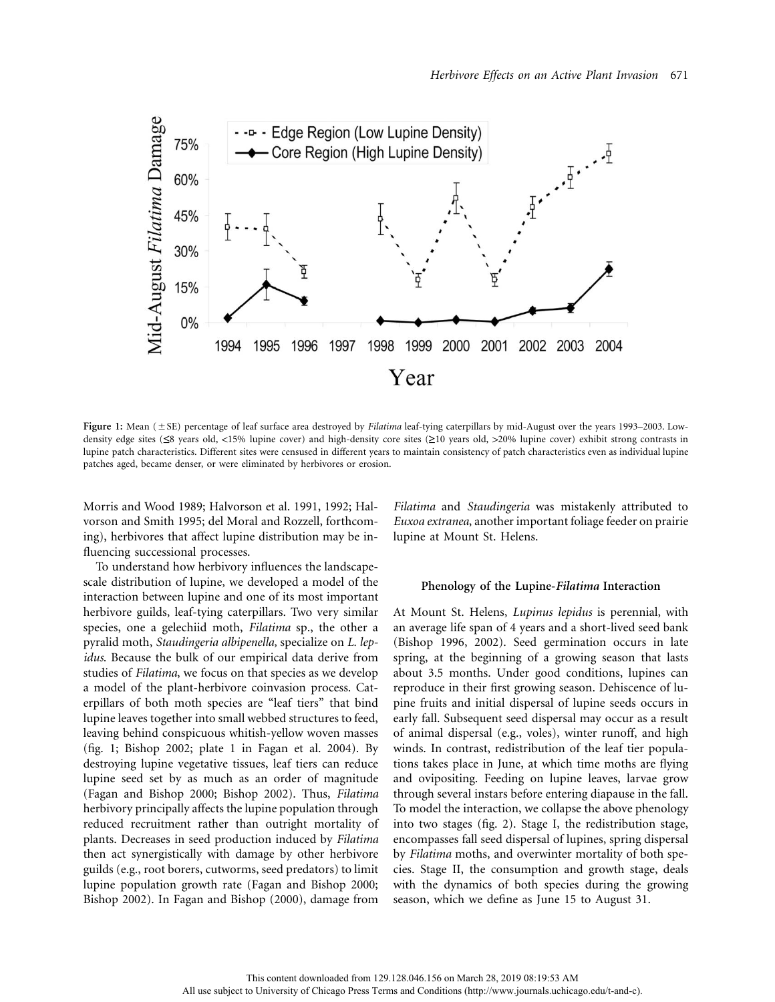

Figure 1: Mean (±SE) percentage of leaf surface area destroyed by Filatima leaf-tying caterpillars by mid-August over the years 1993-2003. Lowdensity edge sites (≤8 years old, <15% lupine cover) and high-density core sites (≥10 years old, >20% lupine cover) exhibit strong contrasts in lupine patch characteristics. Different sites were censused in different years to maintain consistency of patch characteristics even as individual lupine patches aged, became denser, or were eliminated by herbivores or erosion.

Morris and Wood 1989; Halvorson et al. 1991, 1992; Halvorson and Smith 1995; del Moral and Rozzell, forthcoming), herbivores that affect lupine distribution may be influencing successional processes.

To understand how herbivory influences the landscapescale distribution of lupine, we developed a model of the interaction between lupine and one of its most important herbivore guilds, leaf-tying caterpillars. Two very similar species, one a gelechiid moth, *Filatima* sp., the other a pyralid moth, *Staudingeria albipenella,* specialize on *L. lepidus*. Because the bulk of our empirical data derive from studies of *Filatima*, we focus on that species as we develop a model of the plant-herbivore coinvasion process. Caterpillars of both moth species are "leaf tiers" that bind lupine leaves together into small webbed structures to feed, leaving behind conspicuous whitish-yellow woven masses (fig. 1; Bishop 2002; plate 1 in Fagan et al. 2004). By destroying lupine vegetative tissues, leaf tiers can reduce lupine seed set by as much as an order of magnitude (Fagan and Bishop 2000; Bishop 2002). Thus, *Filatima* herbivory principally affects the lupine population through reduced recruitment rather than outright mortality of plants. Decreases in seed production induced by *Filatima* then act synergistically with damage by other herbivore guilds (e.g., root borers, cutworms, seed predators) to limit lupine population growth rate (Fagan and Bishop 2000; Bishop 2002). In Fagan and Bishop (2000), damage from

*Filatima* and *Staudingeria* was mistakenly attributed to *Euxoa extranea*, another important foliage feeder on prairie lupine at Mount St. Helens.

#### **Phenology of the Lupine-***Filatima* **Interaction**

At Mount St. Helens, *Lupinus lepidus* is perennial, with an average life span of 4 years and a short-lived seed bank (Bishop 1996, 2002). Seed germination occurs in late spring, at the beginning of a growing season that lasts about 3.5 months. Under good conditions, lupines can reproduce in their first growing season. Dehiscence of lupine fruits and initial dispersal of lupine seeds occurs in early fall. Subsequent seed dispersal may occur as a result of animal dispersal (e.g., voles), winter runoff, and high winds. In contrast, redistribution of the leaf tier populations takes place in June, at which time moths are flying and ovipositing. Feeding on lupine leaves, larvae grow through several instars before entering diapause in the fall. To model the interaction, we collapse the above phenology into two stages (fig. 2). Stage I, the redistribution stage, encompasses fall seed dispersal of lupines, spring dispersal by *Filatima* moths, and overwinter mortality of both species. Stage II, the consumption and growth stage, deals with the dynamics of both species during the growing season, which we define as June 15 to August 31.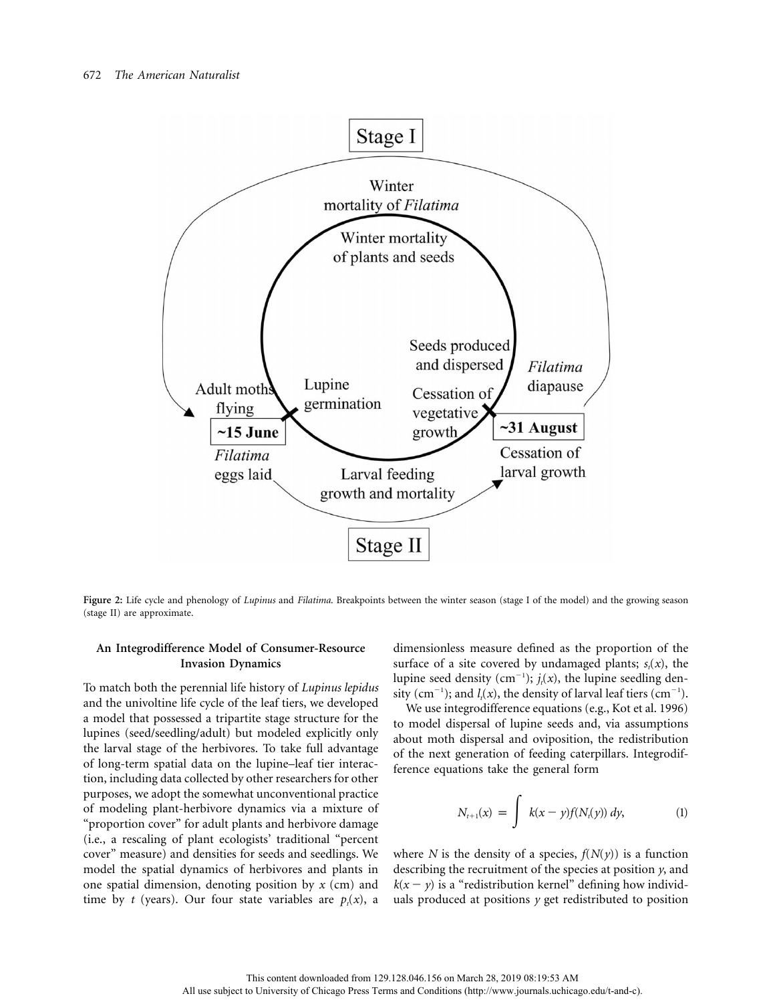

**Figure 2:** Life cycle and phenology of *Lupinus* and *Filatima*. Breakpoints between the winter season (stage I of the model) and the growing season (stage II) are approximate.

## **An Integrodifference Model of Consumer-Resource Invasion Dynamics**

To match both the perennial life history of *Lupinus lepidus* and the univoltine life cycle of the leaf tiers, we developed a model that possessed a tripartite stage structure for the lupines (seed/seedling/adult) but modeled explicitly only the larval stage of the herbivores. To take full advantage of long-term spatial data on the lupine–leaf tier interaction, including data collected by other researchers for other purposes, we adopt the somewhat unconventional practice of modeling plant-herbivore dynamics via a mixture of "proportion cover" for adult plants and herbivore damage (i.e., a rescaling of plant ecologists' traditional "percent cover" measure) and densities for seeds and seedlings. We model the spatial dynamics of herbivores and plants in one spatial dimension, denoting position by *x* (cm) and time by *t* (years). Our four state variables are  $p_t(x)$ , a

dimensionless measure defined as the proportion of the surface of a site covered by undamaged plants;  $s_t(x)$ , the lupine seed density  $(cm^{-1})$ ;  $j_t(x)$ , the lupine seedling density (cm<sup>-1</sup>); and  $l_t(x)$ , the density of larval leaf tiers (cm<sup>-1</sup>).

We use integrodifference equations (e.g., Kot et al. 1996) to model dispersal of lupine seeds and, via assumptions about moth dispersal and oviposition, the redistribution of the next generation of feeding caterpillars. Integrodifference equations take the general form

$$
N_{t+1}(x) = \int k(x - y) f(N_t(y)) dy,
$$
 (1)

where *N* is the density of a species,  $f(N(y))$  is a function describing the recruitment of the species at position *y*, and  $k(x - y)$  is a "redistribution kernel" defining how individuals produced at positions *y* get redistributed to position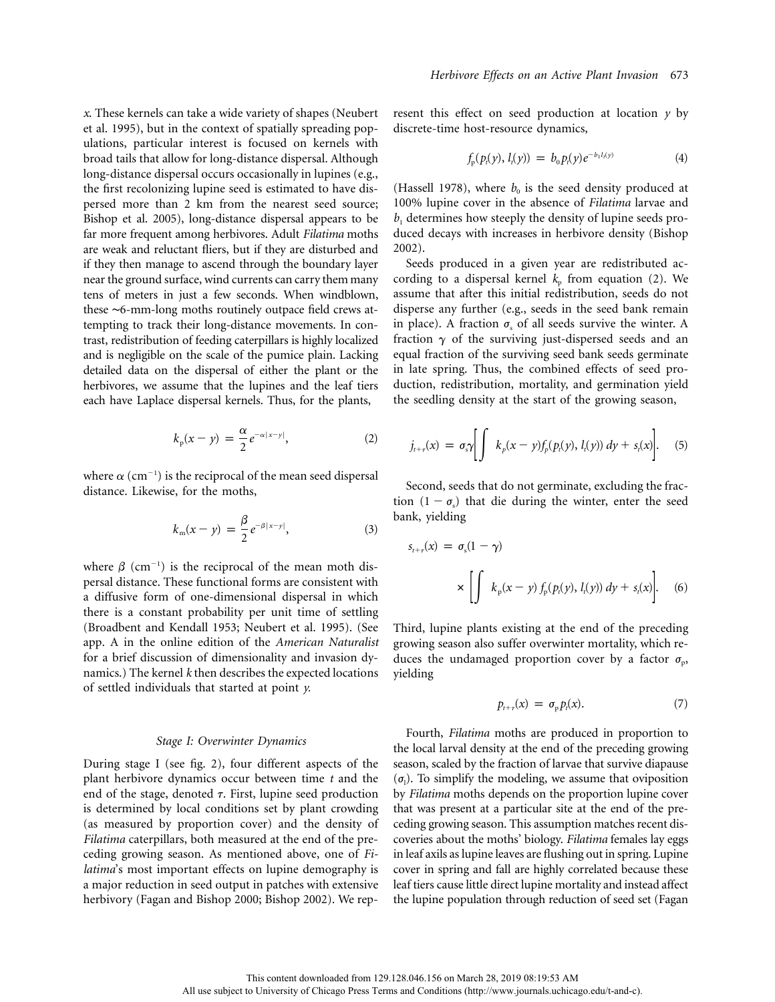*x*. These kernels can take a wide variety of shapes (Neubert et al. 1995), but in the context of spatially spreading populations, particular interest is focused on kernels with broad tails that allow for long-distance dispersal. Although long-distance dispersal occurs occasionally in lupines (e.g., the first recolonizing lupine seed is estimated to have dispersed more than 2 km from the nearest seed source; Bishop et al. 2005), long-distance dispersal appears to be far more frequent among herbivores. Adult *Filatima* moths are weak and reluctant fliers, but if they are disturbed and if they then manage to ascend through the boundary layer near the ground surface, wind currents can carry them many tens of meters in just a few seconds. When windblown, these ∼6-mm-long moths routinely outpace field crews attempting to track their long-distance movements. In contrast, redistribution of feeding caterpillars is highly localized and is negligible on the scale of the pumice plain. Lacking detailed data on the dispersal of either the plant or the herbivores, we assume that the lupines and the leaf tiers each have Laplace dispersal kernels. Thus, for the plants,

$$
k_{\mathrm{p}}(x-y) = \frac{\alpha}{2} e^{-\alpha|x-y|}, \qquad (2)
$$

where  $\alpha$  (cm<sup>-1</sup>) is the reciprocal of the mean seed dispersal distance. Likewise, for the moths,

$$
k_{\rm m}(x-y) = \frac{\beta}{2} e^{-\beta |x-y|},
$$
 (3)

where  $\beta$  (cm<sup>-1</sup>) is the reciprocal of the mean moth dispersal distance. These functional forms are consistent with a diffusive form of one-dimensional dispersal in which there is a constant probability per unit time of settling (Broadbent and Kendall 1953; Neubert et al. 1995). (See app. A in the online edition of the *American Naturalist* for a brief discussion of dimensionality and invasion dynamics.) The kernel *k* then describes the expected locations of settled individuals that started at point *y.*

#### *Stage I: Overwinter Dynamics*

During stage I (see fig. 2), four different aspects of the plant herbivore dynamics occur between time *t* and the end of the stage, denoted  $\tau$ . First, lupine seed production is determined by local conditions set by plant crowding (as measured by proportion cover) and the density of *Filatima* caterpillars, both measured at the end of the preceding growing season. As mentioned above, one of *Filatima*'s most important effects on lupine demography is a major reduction in seed output in patches with extensive herbivory (Fagan and Bishop 2000; Bishop 2002). We represent this effect on seed production at location *y* by discrete-time host-resource dynamics,

$$
f_{p}(p_{t}(y), l_{t}(y)) = b_{0} p_{t}(y) e^{-b_{1}l_{t}(y)}
$$
\n(4)

(Hassell 1978), where  $b_0$  is the seed density produced at 100% lupine cover in the absence of *Filatima* larvae and  $b_1$  determines how steeply the density of lupine seeds produced decays with increases in herbivore density (Bishop 2002).

Seeds produced in a given year are redistributed according to a dispersal kernel  $k_p$  from equation (2). We assume that after this initial redistribution, seeds do not disperse any further (e.g., seeds in the seed bank remain in place). A fraction  $\sigma_s$  of all seeds survive the winter. A fraction  $\gamma$  of the surviving just-dispersed seeds and an equal fraction of the surviving seed bank seeds germinate in late spring. Thus, the combined effects of seed production, redistribution, mortality, and germination yield the seedling density at the start of the growing season,

$$
j_{t+\tau}(x) = \sigma_s \gamma \bigg[ \int k_p(x-y) f_p(p_t(y), l_t(y)) \, dy + s_t(x) \bigg]. \tag{5}
$$

Second, seeds that do not germinate, excluding the fraction  $(1 - \sigma_s)$  that die during the winter, enter the seed bank, yielding

$$
s_{t+\tau}(x) = \sigma_s(1-\gamma)
$$
  
 
$$
\times \left[ \int k_p(x-y) f_p(p_t(y), l_t(y)) dy + s_t(x) \right].
$$
 (6)

Third, lupine plants existing at the end of the preceding growing season also suffer overwinter mortality, which reduces the undamaged proportion cover by a factor  $\sigma_{p}$ , yielding

$$
p_{t+\tau}(x) = \sigma_{\mathbf{p}} p_t(x). \tag{7}
$$

Fourth, *Filatima* moths are produced in proportion to the local larval density at the end of the preceding growing season, scaled by the fraction of larvae that survive diapause  $(\sigma$ <sub>1</sub>). To simplify the modeling, we assume that oviposition by *Filatima* moths depends on the proportion lupine cover that was present at a particular site at the end of the preceding growing season. This assumption matches recent discoveries about the moths' biology. *Filatima* females lay eggs in leaf axils as lupine leaves are flushing out in spring. Lupine cover in spring and fall are highly correlated because these leaf tiers cause little direct lupine mortality and instead affect the lupine population through reduction of seed set (Fagan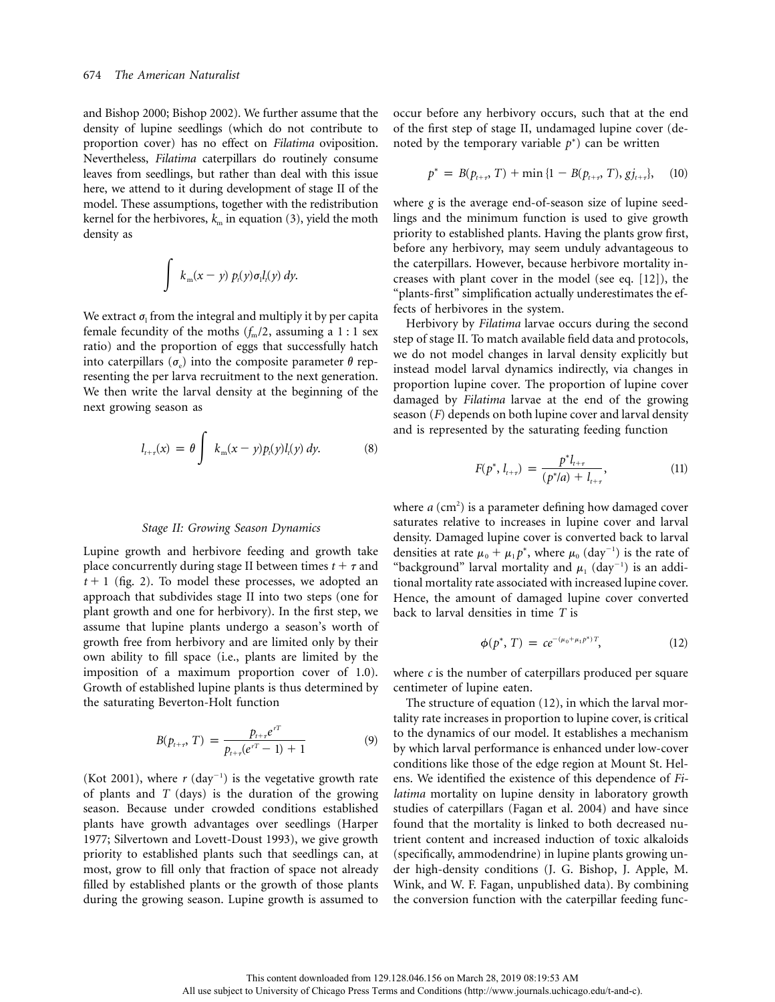and Bishop 2000; Bishop 2002). We further assume that the density of lupine seedlings (which do not contribute to proportion cover) has no effect on *Filatima* oviposition. Nevertheless, *Filatima* caterpillars do routinely consume leaves from seedlings, but rather than deal with this issue here, we attend to it during development of stage II of the model. These assumptions, together with the redistribution kernel for the herbivores,  $k_m$  in equation (3), yield the moth density as

$$
\int k_m(x-y) p_i(y) \sigma_i l_i(y) dy.
$$

We extract  $\sigma_1$  from the integral and multiply it by per capita female fecundity of the moths  $(f_m/2)$ , assuming a 1 : 1 sex ratio) and the proportion of eggs that successfully hatch into caterpillars ( $\sigma_e$ ) into the composite parameter  $\theta$  representing the per larva recruitment to the next generation. We then write the larval density at the beginning of the next growing season as

$$
l_{t+\tau}(x) = \theta \int k_m(x-y) p_t(y) l_t(y) dy.
$$
 (8)

#### *Stage II: Growing Season Dynamics*

Lupine growth and herbivore feeding and growth take place concurrently during stage II between times  $t + \tau$  and  $t + 1$  (fig. 2). To model these processes, we adopted an approach that subdivides stage II into two steps (one for plant growth and one for herbivory). In the first step, we assume that lupine plants undergo a season's worth of growth free from herbivory and are limited only by their own ability to fill space (i.e., plants are limited by the imposition of a maximum proportion cover of 1.0). Growth of established lupine plants is thus determined by the saturating Beverton-Holt function

$$
B(p_{t+\tau}, T) = \frac{p_{t+\tau}e^{rT}}{p_{t+\tau}(e^{rT}-1)+1}
$$
 (9)

(Kot 2001), where  $r$  (day<sup>-1</sup>) is the vegetative growth rate of plants and *T* (days) is the duration of the growing season. Because under crowded conditions established plants have growth advantages over seedlings (Harper 1977; Silvertown and Lovett-Doust 1993), we give growth priority to established plants such that seedlings can, at most, grow to fill only that fraction of space not already filled by established plants or the growth of those plants during the growing season. Lupine growth is assumed to

occur before any herbivory occurs, such that at the end of the first step of stage II, undamaged lupine cover (denoted by the temporary variable *p*<sup>∗</sup> ) can be written

$$
p^* = B(p_{t+\tau}, T) + \min\{1 - B(p_{t+\tau}, T), g_{t+\tau}\}, \quad (10)
$$

where *g* is the average end-of-season size of lupine seedlings and the minimum function is used to give growth priority to established plants. Having the plants grow first, before any herbivory, may seem unduly advantageous to the caterpillars. However, because herbivore mortality increases with plant cover in the model (see eq. [12]), the "plants-first" simplification actually underestimates the effects of herbivores in the system.

Herbivory by *Filatima* larvae occurs during the second step of stage II. To match available field data and protocols, we do not model changes in larval density explicitly but instead model larval dynamics indirectly, via changes in proportion lupine cover. The proportion of lupine cover damaged by *Filatima* larvae at the end of the growing season (*F*) depends on both lupine cover and larval density and is represented by the saturating feeding function

$$
F(p^*, l_{t+\tau}) = \frac{p^* l_{t+\tau}}{(p^* / a) + l_{t+\tau}}, \tag{11}
$$

where  $a$  (cm<sup>2</sup>) is a parameter defining how damaged cover saturates relative to increases in lupine cover and larval density. Damaged lupine cover is converted back to larval densities at rate  $\mu_0 + \mu_1 p^*$ , where  $\mu_0$  (day<sup>-1</sup>) is the rate of "background" larval mortality and  $\mu_1$  (day<sup>-1</sup>) is an additional mortality rate associated with increased lupine cover. Hence, the amount of damaged lupine cover converted back to larval densities in time *T* is

$$
\phi(p^*, T) = c e^{-(\mu_0 + \mu_1 p^*)T}, \qquad (12)
$$

where  $c$  is the number of caterpillars produced per square centimeter of lupine eaten.

The structure of equation (12), in which the larval mortality rate increases in proportion to lupine cover, is critical to the dynamics of our model. It establishes a mechanism by which larval performance is enhanced under low-cover conditions like those of the edge region at Mount St. Helens. We identified the existence of this dependence of *Filatima* mortality on lupine density in laboratory growth studies of caterpillars (Fagan et al. 2004) and have since found that the mortality is linked to both decreased nutrient content and increased induction of toxic alkaloids (specifically, ammodendrine) in lupine plants growing under high-density conditions (J. G. Bishop, J. Apple, M. Wink, and W. F. Fagan, unpublished data). By combining the conversion function with the caterpillar feeding func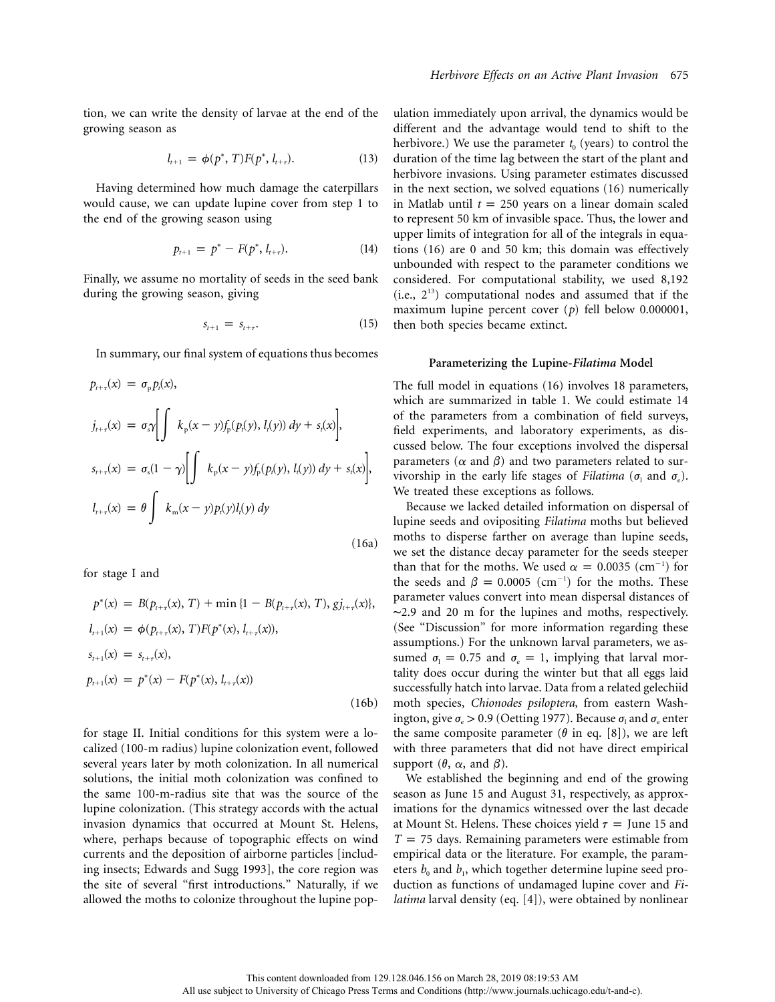tion, we can write the density of larvae at the end of the growing season as

$$
l_{t+1} = \phi(p^*, T) F(p^*, l_{t+\tau}). \tag{13}
$$

Having determined how much damage the caterpillars would cause, we can update lupine cover from step 1 to the end of the growing season using

$$
p_{t+1} = p^* - F(p^*, l_{t+\tau}). \tag{14}
$$

Finally, we assume no mortality of seeds in the seed bank during the growing season, giving

$$
s_{t+1} = s_{t+\tau}.\tag{15}
$$

In summary, our final system of equations thus becomes

$$
p_{t+\tau}(x) = \sigma_{p} p_{t}(x),
$$
  
\n
$$
j_{t+\tau}(x) = \sigma_{s} \gamma \Biggl[ \int k_{p}(x - y) f_{p}(p_{t}(y), l_{t}(y)) dy + s_{t}(x) \Biggr],
$$
  
\n
$$
s_{t+\tau}(x) = \sigma_{s}(1 - \gamma) \Biggl[ \int k_{p}(x - y) f_{p}(p_{t}(y), l_{t}(y)) dy + s_{t}(x) \Biggr],
$$
  
\n
$$
l_{t+\tau}(x) = \theta \int k_{m}(x - y) p_{t}(y) l_{t}(y) dy
$$
\n(16a)

for stage I and

$$
p^*(x) = B(p_{t+\tau}(x), T) + \min \{1 - B(p_{t+\tau}(x), T), gj_{t+\tau}(x)\},
$$
  
\n
$$
l_{t+1}(x) = \phi(p_{t+\tau}(x), T)F(p^*(x), l_{t+\tau}(x)),
$$
  
\n
$$
s_{t+1}(x) = s_{t+\tau}(x),
$$
  
\n
$$
p_{t+1}(x) = p^*(x) - F(p^*(x), l_{t+\tau}(x))
$$
\n(16b)

for stage II. Initial conditions for this system were a localized (100-m radius) lupine colonization event, followed several years later by moth colonization. In all numerical solutions, the initial moth colonization was confined to the same 100-m-radius site that was the source of the lupine colonization. (This strategy accords with the actual invasion dynamics that occurred at Mount St. Helens, where, perhaps because of topographic effects on wind currents and the deposition of airborne particles [including insects; Edwards and Sugg 1993], the core region was the site of several "first introductions." Naturally, if we allowed the moths to colonize throughout the lupine pop-

ulation immediately upon arrival, the dynamics would be different and the advantage would tend to shift to the herbivore.) We use the parameter  $t_0$  (years) to control the duration of the time lag between the start of the plant and herbivore invasions. Using parameter estimates discussed in the next section, we solved equations (16) numerically in Matlab until  $t = 250$  years on a linear domain scaled to represent 50 km of invasible space. Thus, the lower and upper limits of integration for all of the integrals in equations (16) are 0 and 50 km; this domain was effectively unbounded with respect to the parameter conditions we considered. For computational stability, we used 8,192 (i.e.,  $2^{13}$ ) computational nodes and assumed that if the maximum lupine percent cover (*p*) fell below 0.000001, then both species became extinct.

#### **Parameterizing the Lupine-***Filatima* **Model**

The full model in equations (16) involves 18 parameters, which are summarized in table 1. We could estimate 14 of the parameters from a combination of field surveys, field experiments, and laboratory experiments, as discussed below. The four exceptions involved the dispersal parameters ( $\alpha$  and  $\beta$ ) and two parameters related to survivorship in the early life stages of *Filatima* ( $\sigma_1$  and  $\sigma_e$ ). We treated these exceptions as follows.

Because we lacked detailed information on dispersal of lupine seeds and ovipositing *Filatima* moths but believed moths to disperse farther on average than lupine seeds, we set the distance decay parameter for the seeds steeper than that for the moths. We used  $\alpha = 0.0035$  (cm<sup>-1</sup>) for the seeds and  $\beta = 0.0005$  (cm<sup>-1</sup>) for the moths. These parameter values convert into mean dispersal distances of ∼2.9 and 20 m for the lupines and moths, respectively. (See "Discussion" for more information regarding these assumptions.) For the unknown larval parameters, we assumed  $\sigma_1 = 0.75$  and  $\sigma_{\rm e} = 1$ , implying that larval mortality does occur during the winter but that all eggs laid successfully hatch into larvae. Data from a related gelechiid moth species, *Chionodes psiloptera*, from eastern Washington, give  $\sigma$  > 0.9 (Oetting 1977). Because  $\sigma$  and  $\sigma$  enter the same composite parameter ( $\theta$  in eq. [8]), we are left with three parameters that did not have direct empirical support  $(\theta, \alpha, \text{ and } \beta)$ .

We established the beginning and end of the growing season as June 15 and August 31, respectively, as approximations for the dynamics witnessed over the last decade at Mount St. Helens. These choices yield  $\tau$  = June 15 and  $T = 75$  days. Remaining parameters were estimable from empirical data or the literature. For example, the parameters  $b_0$  and  $b_1$ , which together determine lupine seed production as functions of undamaged lupine cover and *Filatima* larval density (eq. [4]), were obtained by nonlinear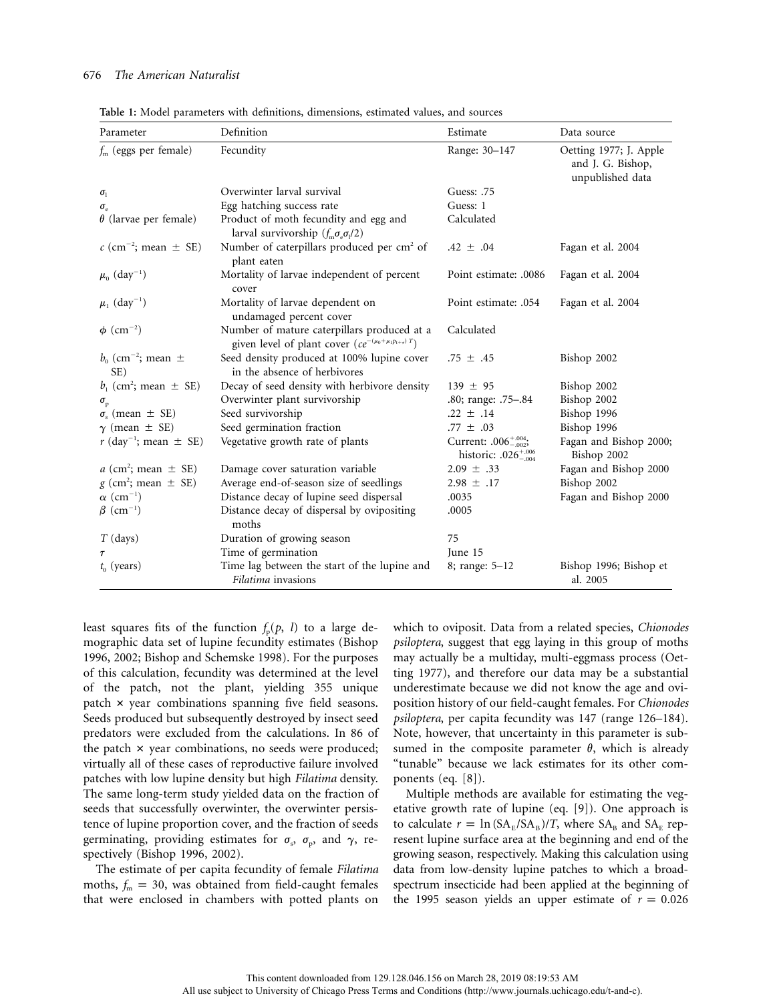#### 676 *The American Naturalist*

| Parameter                                   | Definition                                                                                                       | Estimate                                                           | Data source                                                     |
|---------------------------------------------|------------------------------------------------------------------------------------------------------------------|--------------------------------------------------------------------|-----------------------------------------------------------------|
| $fm$ (eggs per female)                      | Fecundity                                                                                                        | Range: 30-147                                                      | Oetting 1977; J. Apple<br>and J. G. Bishop,<br>unpublished data |
| $\sigma_{1}$                                | Overwinter larval survival                                                                                       | Guess: .75                                                         |                                                                 |
| $\sigma_e$                                  | Egg hatching success rate                                                                                        | Guess: 1                                                           |                                                                 |
| $\theta$ (larvae per female)                | Product of moth fecundity and egg and<br>larval survivorship $(f_m \sigma_e \sigma_l/2)$                         | Calculated                                                         |                                                                 |
| $c$ (cm <sup>-2</sup> ; mean $\pm$ SE)      | Number of caterpillars produced per cm <sup>2</sup> of<br>plant eaten                                            | $.42 \pm .04$                                                      | Fagan et al. 2004                                               |
| $\mu_0$ (day <sup>-1</sup> )                | Mortality of larvae independent of percent<br>cover                                                              | Point estimate: .0086                                              | Fagan et al. 2004                                               |
| $\mu_1$ (day <sup>-1</sup> )                | Mortality of larvae dependent on<br>undamaged percent cover                                                      | Point estimate: .054                                               | Fagan et al. 2004                                               |
| $\phi$ (cm <sup>-2</sup> )                  | Number of mature caterpillars produced at a<br>given level of plant cover $(c e^{-(\mu_0 + \mu_1 p_{t+\tau})T})$ | Calculated                                                         |                                                                 |
| $b_0$ (cm <sup>-2</sup> ; mean $\pm$<br>SE) | Seed density produced at 100% lupine cover<br>in the absence of herbivores                                       | $.75 \pm .45$                                                      | Bishop 2002                                                     |
| $b_i$ (cm <sup>2</sup> ; mean $\pm$ SE)     | Decay of seed density with herbivore density                                                                     | $139 \pm 95$                                                       | Bishop 2002                                                     |
| $\sigma_{\rm p}$                            | Overwinter plant survivorship                                                                                    | .80; range: .75-.84                                                | Bishop 2002                                                     |
| $\sigma_{\rm s}$ (mean $\pm$ SE)            | Seed survivorship                                                                                                | .22 $\pm$ .14                                                      | Bishop 1996                                                     |
| $\gamma$ (mean $\pm$ SE)                    | Seed germination fraction                                                                                        | $.77 \pm .03$                                                      | Bishop 1996                                                     |
| $r$ (day <sup>-1</sup> ; mean $\pm$ SE)     | Vegetative growth rate of plants                                                                                 | Current: $.006^{+.004}_{-.002}$<br>historic: .026 <sup>+.006</sup> | Fagan and Bishop 2000;<br>Bishop 2002                           |
| $a$ (cm <sup>2</sup> ; mean $\pm$ SE)       | Damage cover saturation variable                                                                                 | $2.09 \pm .33$                                                     | Fagan and Bishop 2000                                           |
| $g$ (cm <sup>2</sup> ; mean $\pm$ SE)       | Average end-of-season size of seedlings                                                                          | $2.98 \pm .17$                                                     | Bishop 2002                                                     |
| $\alpha$ (cm <sup>-1</sup> )                | Distance decay of lupine seed dispersal                                                                          | .0035                                                              | Fagan and Bishop 2000                                           |
| $\beta$ (cm <sup>-1</sup> )                 | Distance decay of dispersal by ovipositing<br>moths                                                              | .0005                                                              |                                                                 |
| $T$ (days)                                  | Duration of growing season                                                                                       | 75                                                                 |                                                                 |
| T                                           | Time of germination                                                                                              | June 15                                                            |                                                                 |
| $t_0$ (years)                               | Time lag between the start of the lupine and<br>Filatima invasions                                               | 8; range: 5-12                                                     | Bishop 1996; Bishop et<br>al. 2005                              |

**Table 1:** Model parameters with definitions, dimensions, estimated values, and sources

least squares fits of the function  $f_p(p, l)$  to a large demographic data set of lupine fecundity estimates (Bishop 1996, 2002; Bishop and Schemske 1998). For the purposes of this calculation, fecundity was determined at the level of the patch, not the plant, yielding 355 unique patch  $\times$  year combinations spanning five field seasons. Seeds produced but subsequently destroyed by insect seed predators were excluded from the calculations. In 86 of the patch  $\times$  year combinations, no seeds were produced; virtually all of these cases of reproductive failure involved patches with low lupine density but high *Filatima* density. The same long-term study yielded data on the fraction of seeds that successfully overwinter, the overwinter persistence of lupine proportion cover, and the fraction of seeds germinating, providing estimates for  $\sigma_s$ ,  $\sigma_p$ , and  $\gamma$ , respectively (Bishop 1996, 2002).

The estimate of per capita fecundity of female *Filatima* moths,  $f_m = 30$ , was obtained from field-caught females that were enclosed in chambers with potted plants on

which to oviposit. Data from a related species, *Chionodes psiloptera*, suggest that egg laying in this group of moths may actually be a multiday, multi-eggmass process (Oetting 1977), and therefore our data may be a substantial underestimate because we did not know the age and oviposition history of our field-caught females. For *Chionodes psiloptera*, per capita fecundity was 147 (range 126–184). Note, however, that uncertainty in this parameter is subsumed in the composite parameter  $\theta$ , which is already "tunable" because we lack estimates for its other components (eq. [8]).

Multiple methods are available for estimating the vegetative growth rate of lupine (eq. [9]). One approach is to calculate  $r = \ln (SA_{\rm E}/SA_{\rm B})/T$ , where  $SA_{\rm B}$  and  $SA_{\rm E}$  represent lupine surface area at the beginning and end of the growing season, respectively. Making this calculation using data from low-density lupine patches to which a broadspectrum insecticide had been applied at the beginning of the 1995 season yields an upper estimate of  $r = 0.026$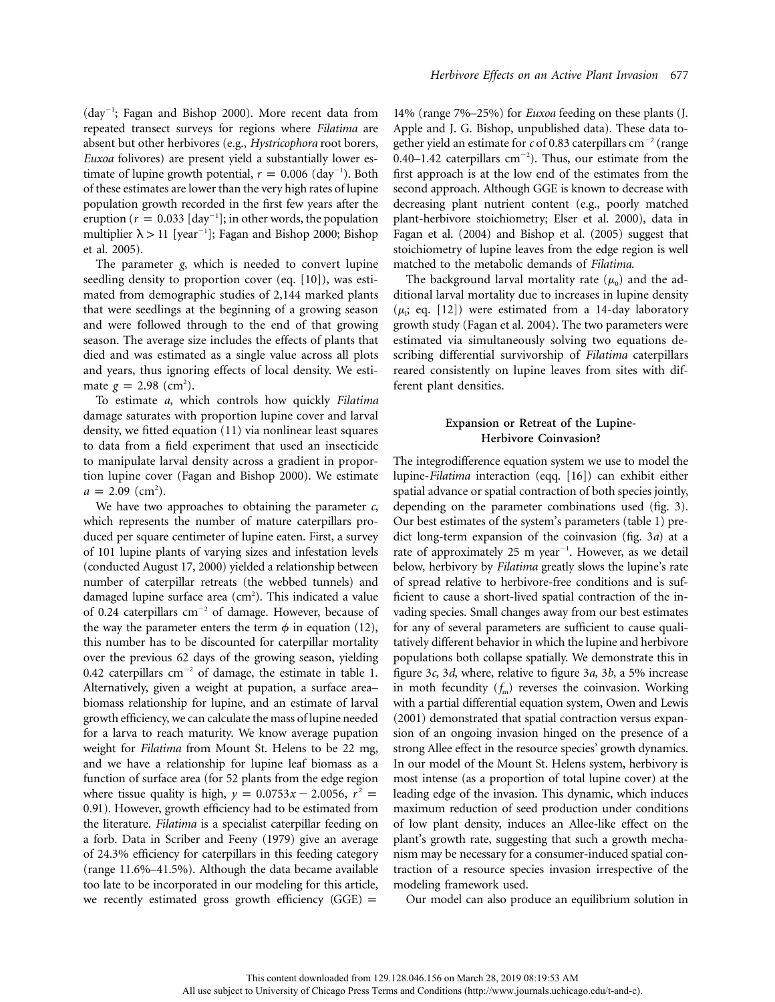(day<sup>-1</sup>; Fagan and Bishop 2000). More recent data from repeated transect surveys for regions where *Filatima* are absent but other herbivores (e.g., *Hystricophora* root borers, *Euxoa* folivores) are present yield a substantially lower estimate of lupine growth potential,  $r = 0.006$  (day<sup>-1</sup>). Both of these estimates are lower than the very high rates of lupine population growth recorded in the first few years after the eruption ( $r = 0.033$  [day<sup>-1</sup>]; in other words, the population multiplier  $\lambda > 11$  [year<sup>-1</sup>]; Fagan and Bishop 2000; Bishop et al. 2005).

The parameter *g*, which is needed to convert lupine seedling density to proportion cover (eq. [10]), was estimated from demographic studies of 2,144 marked plants that were seedlings at the beginning of a growing season and were followed through to the end of that growing season. The average size includes the effects of plants that died and was estimated as a single value across all plots and years, thus ignoring effects of local density. We estimate  $g = 2.98$  (cm<sup>2</sup>).

To estimate *a*, which controls how quickly *Filatima* damage saturates with proportion lupine cover and larval density, we fitted equation (11) via nonlinear least squares to data from a field experiment that used an insecticide to manipulate larval density across a gradient in proportion lupine cover (Fagan and Bishop 2000). We estimate  $a = 2.09$  (cm<sup>2</sup>).

We have two approaches to obtaining the parameter *c*, which represents the number of mature caterpillars produced per square centimeter of lupine eaten. First, a survey of 101 lupine plants of varying sizes and infestation levels (conducted August 17, 2000) yielded a relationship between number of caterpillar retreats (the webbed tunnels) and damaged lupine surface area (cm<sup>2</sup>). This indicated a value of 0.24 caterpillars  $cm^{-2}$  of damage. However, because of the way the parameter enters the term  $\phi$  in equation (12), this number has to be discounted for caterpillar mortality over the previous 62 days of the growing season, yielding 0.42 caterpillars  $cm^{-2}$  of damage, the estimate in table 1. Alternatively, given a weight at pupation, a surface area– biomass relationship for lupine, and an estimate of larval growth efficiency, we can calculate the mass of lupine needed for a larva to reach maturity. We know average pupation weight for *Filatima* from Mount St. Helens to be 22 mg, and we have a relationship for lupine leaf biomass as a function of surface area (for 52 plants from the edge region where tissue quality is high,  $y = 0.0753x - 2.0056$ ,  $r^2 =$ 0.91). However, growth efficiency had to be estimated from the literature. *Filatima* is a specialist caterpillar feeding on a forb. Data in Scriber and Feeny (1979) give an average of 24.3% efficiency for caterpillars in this feeding category (range 11.6%–41.5%). Although the data became available too late to be incorporated in our modeling for this article, we recently estimated gross growth efficiency  $(GGE)$  =

14% (range 7%–25%) for *Euxoa* feeding on these plants (J. Apple and J. G. Bishop, unpublished data). These data together yield an estimate for  $c$  of 0.83 caterpillars  $cm^{-2}$  (range 0.40–1.42 caterpillars  $cm^{-2}$ ). Thus, our estimate from the first approach is at the low end of the estimates from the second approach. Although GGE is known to decrease with decreasing plant nutrient content (e.g., poorly matched plant-herbivore stoichiometry; Elser et al. 2000), data in Fagan et al. (2004) and Bishop et al. (2005) suggest that stoichiometry of lupine leaves from the edge region is well matched to the metabolic demands of *Filatima*.

The background larval mortality rate  $(\mu_0)$  and the additional larval mortality due to increases in lupine density  $(\mu_i; \text{ eq. } [12])$  were estimated from a 14-day laboratory growth study (Fagan et al. 2004). The two parameters were estimated via simultaneously solving two equations describing differential survivorship of *Filatima* caterpillars reared consistently on lupine leaves from sites with different plant densities.

## **Expansion or Retreat of the Lupine-Herbivore Coinvasion?**

The integrodifference equation system we use to model the lupine-*Filatima* interaction (eqq. [16]) can exhibit either spatial advance or spatial contraction of both species jointly, depending on the parameter combinations used (fig. 3). Our best estimates of the system's parameters (table 1) predict long-term expansion of the coinvasion (fig. 3*a*) at a rate of approximately 25 m year<sup>-1</sup>. However, as we detail below, herbivory by *Filatima* greatly slows the lupine's rate of spread relative to herbivore-free conditions and is sufficient to cause a short-lived spatial contraction of the invading species. Small changes away from our best estimates for any of several parameters are sufficient to cause qualitatively different behavior in which the lupine and herbivore populations both collapse spatially. We demonstrate this in figure 3*c*, 3*d*, where, relative to figure 3*a*, 3*b*, a 5% increase in moth fecundity  $(f_m)$  reverses the coinvasion. Working with a partial differential equation system, Owen and Lewis (2001) demonstrated that spatial contraction versus expansion of an ongoing invasion hinged on the presence of a strong Allee effect in the resource species' growth dynamics. In our model of the Mount St. Helens system, herbivory is most intense (as a proportion of total lupine cover) at the leading edge of the invasion. This dynamic, which induces maximum reduction of seed production under conditions of low plant density, induces an Allee-like effect on the plant's growth rate, suggesting that such a growth mechanism may be necessary for a consumer-induced spatial contraction of a resource species invasion irrespective of the modeling framework used.

Our model can also produce an equilibrium solution in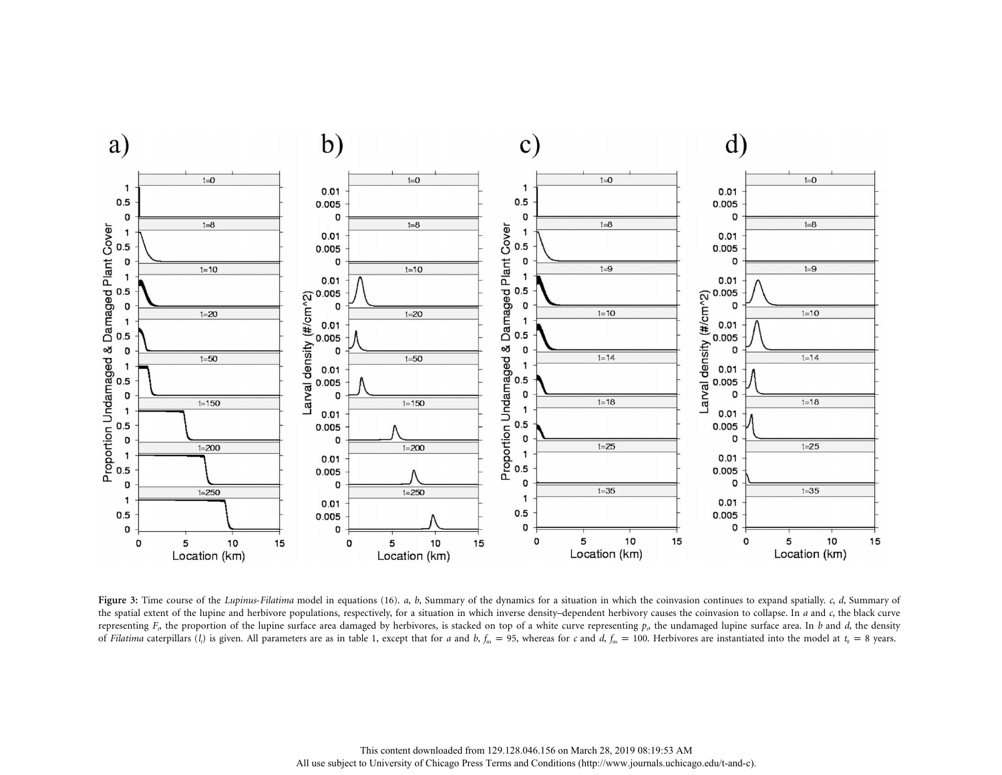

Figure 3: Time course of the Lupinus-Filatima model in equations (16). a, b, Summary of the dynamics for a situation in which the coinvasion continues to expand spatially. c, d, Summary of the spatial extent of the lupine and herbivore populations, respectively, for a situation in which inverse density–dependent herbivory causes the coinvasion to collapse. In *a* and *c*, the black curve representing  $F_{\rho}$  the proportion of the lupine surface area damaged by herbivores, is stacked on top of a white curve representing  $p_{\rho}$  the undamaged lupine surface area. In *b* and *d*, the density of Filatima caterpillars (l<sub>i</sub>) is given. All parameters are as in table 1, except that for a and b,  $f_m = 95$ , whereas for c and d,  $f_m = 100$ . Herbivores are instantiated into the model at  $t_0 = 8$  years.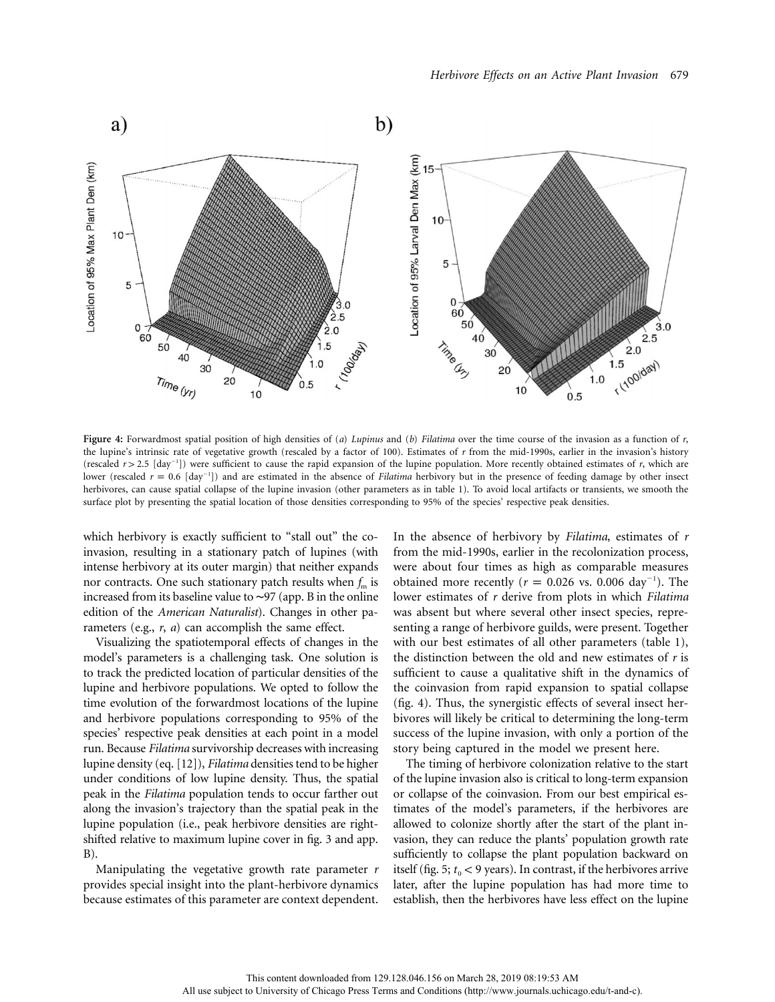

**Figure 4:** Forwardmost spatial position of high densities of (*a*) *Lupinus* and (*b*) *Filatima* over the time course of the invasion as a function of *r*, the lupine's intrinsic rate of vegetative growth (rescaled by a factor of 100). Estimates of *r* from the mid-1990s, earlier in the invasion's history (rescaled  $r > 2.5$  [day<sup>-1</sup>]) were sufficient to cause the rapid expansion of the lupine population. More recently obtained estimates of *r*, which are lower (rescaled  $r = 0.6$  [day<sup>-1</sup>]) and are estimated in the absence of *Filatima* herbivory but in the presence of feeding damage by other insect herbivores, can cause spatial collapse of the lupine invasion (other parameters as in table 1). To avoid local artifacts or transients, we smooth the surface plot by presenting the spatial location of those densities corresponding to 95% of the species' respective peak densities.

which herbivory is exactly sufficient to "stall out" the coinvasion, resulting in a stationary patch of lupines (with intense herbivory at its outer margin) that neither expands nor contracts. One such stationary patch results when  $f_m$  is increased from its baseline value to ∼97 (app. B in the online edition of the *American Naturalist*). Changes in other parameters (e.g., *r*, *a*) can accomplish the same effect.

Visualizing the spatiotemporal effects of changes in the model's parameters is a challenging task. One solution is to track the predicted location of particular densities of the lupine and herbivore populations. We opted to follow the time evolution of the forwardmost locations of the lupine and herbivore populations corresponding to 95% of the species' respective peak densities at each point in a model run. Because *Filatima* survivorship decreases with increasing lupine density (eq. [12]), *Filatima* densities tend to be higher under conditions of low lupine density. Thus, the spatial peak in the *Filatima* population tends to occur farther out along the invasion's trajectory than the spatial peak in the lupine population (i.e., peak herbivore densities are rightshifted relative to maximum lupine cover in fig. 3 and app. B).

Manipulating the vegetative growth rate parameter *r* provides special insight into the plant-herbivore dynamics because estimates of this parameter are context dependent. In the absence of herbivory by *Filatima*, estimates of *r* from the mid-1990s, earlier in the recolonization process, were about four times as high as comparable measures obtained more recently ( $r = 0.026$  vs. 0.006 day<sup>-1</sup>). The lower estimates of *r* derive from plots in which *Filatima* was absent but where several other insect species, representing a range of herbivore guilds, were present. Together with our best estimates of all other parameters (table 1), the distinction between the old and new estimates of *r* is sufficient to cause a qualitative shift in the dynamics of the coinvasion from rapid expansion to spatial collapse (fig. 4). Thus, the synergistic effects of several insect herbivores will likely be critical to determining the long-term success of the lupine invasion, with only a portion of the story being captured in the model we present here.

The timing of herbivore colonization relative to the start of the lupine invasion also is critical to long-term expansion or collapse of the coinvasion. From our best empirical estimates of the model's parameters, if the herbivores are allowed to colonize shortly after the start of the plant invasion, they can reduce the plants' population growth rate sufficiently to collapse the plant population backward on itself (fig. 5;  $t_0 < 9$  years). In contrast, if the herbivores arrive later, after the lupine population has had more time to establish, then the herbivores have less effect on the lupine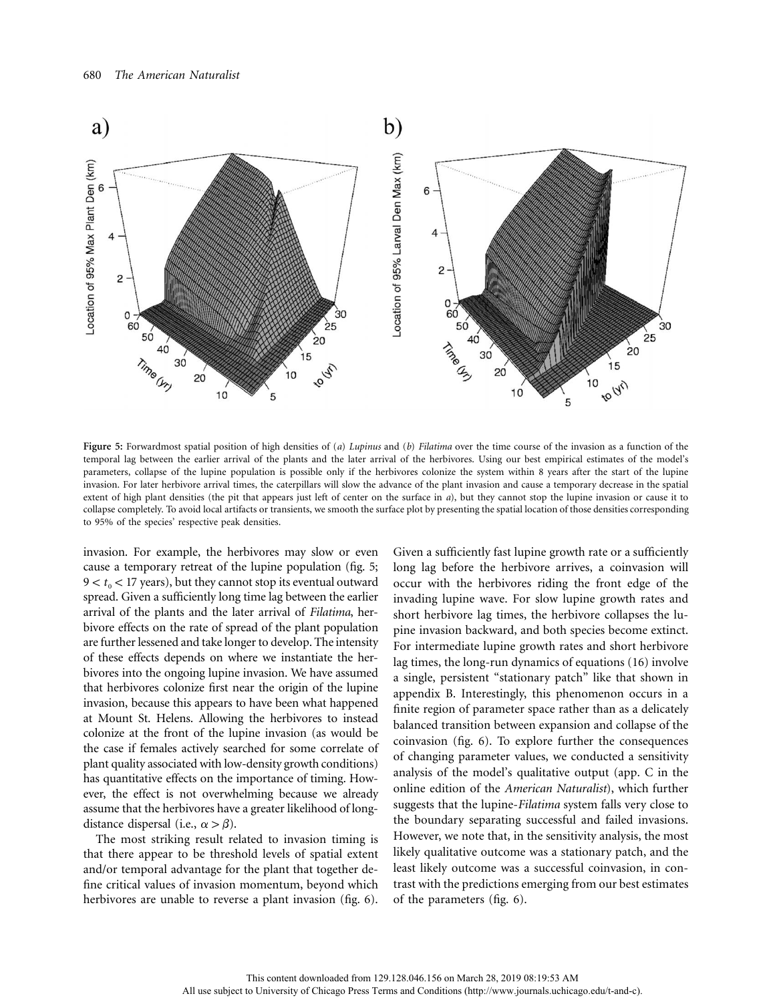

**Figure 5:** Forwardmost spatial position of high densities of (*a*) *Lupinus* and (*b*) *Filatima* over the time course of the invasion as a function of the temporal lag between the earlier arrival of the plants and the later arrival of the herbivores. Using our best empirical estimates of the model's parameters, collapse of the lupine population is possible only if the herbivores colonize the system within 8 years after the start of the lupine invasion. For later herbivore arrival times, the caterpillars will slow the advance of the plant invasion and cause a temporary decrease in the spatial extent of high plant densities (the pit that appears just left of center on the surface in *a*), but they cannot stop the lupine invasion or cause it to collapse completely. To avoid local artifacts or transients, we smooth the surface plot by presenting the spatial location of those densities corresponding to 95% of the species' respective peak densities.

invasion. For example, the herbivores may slow or even cause a temporary retreat of the lupine population (fig. 5;  $9 < t_0 < 17$  years), but they cannot stop its eventual outward spread. Given a sufficiently long time lag between the earlier arrival of the plants and the later arrival of *Filatima*, herbivore effects on the rate of spread of the plant population are further lessened and take longer to develop. The intensity of these effects depends on where we instantiate the herbivores into the ongoing lupine invasion. We have assumed that herbivores colonize first near the origin of the lupine invasion, because this appears to have been what happened at Mount St. Helens. Allowing the herbivores to instead colonize at the front of the lupine invasion (as would be the case if females actively searched for some correlate of plant quality associated with low-density growth conditions) has quantitative effects on the importance of timing. However, the effect is not overwhelming because we already assume that the herbivores have a greater likelihood of longdistance dispersal (i.e.,  $\alpha > \beta$ ).

The most striking result related to invasion timing is that there appear to be threshold levels of spatial extent and/or temporal advantage for the plant that together define critical values of invasion momentum, beyond which herbivores are unable to reverse a plant invasion (fig. 6).

Given a sufficiently fast lupine growth rate or a sufficiently long lag before the herbivore arrives, a coinvasion will occur with the herbivores riding the front edge of the invading lupine wave. For slow lupine growth rates and short herbivore lag times, the herbivore collapses the lupine invasion backward, and both species become extinct. For intermediate lupine growth rates and short herbivore lag times, the long-run dynamics of equations (16) involve a single, persistent "stationary patch" like that shown in appendix B. Interestingly, this phenomenon occurs in a finite region of parameter space rather than as a delicately balanced transition between expansion and collapse of the coinvasion (fig. 6). To explore further the consequences of changing parameter values, we conducted a sensitivity analysis of the model's qualitative output (app. C in the online edition of the *American Naturalist*), which further suggests that the lupine-*Filatima* system falls very close to the boundary separating successful and failed invasions. However, we note that, in the sensitivity analysis, the most likely qualitative outcome was a stationary patch, and the least likely outcome was a successful coinvasion, in contrast with the predictions emerging from our best estimates of the parameters (fig. 6).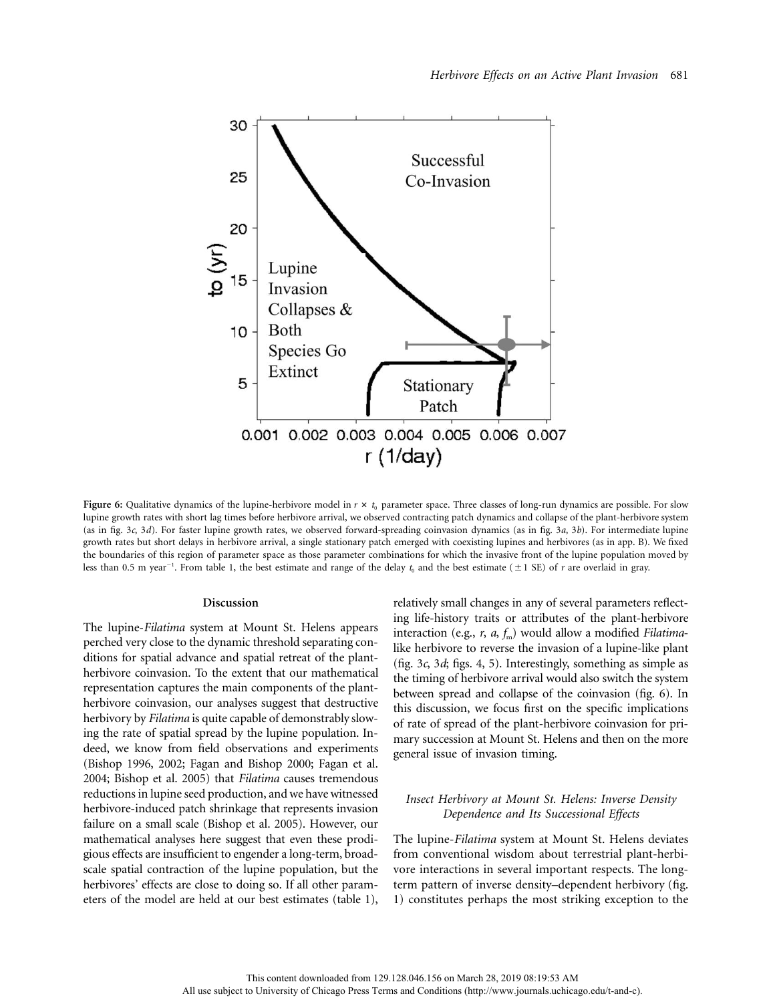

**Figure 6:** Qualitative dynamics of the lupine-herbivore model in  $r \times t_0$  parameter space. Three classes of long-run dynamics are possible. For slow lupine growth rates with short lag times before herbivore arrival, we observed contracting patch dynamics and collapse of the plant-herbivore system (as in fig. 3*c*, 3*d*). For faster lupine growth rates, we observed forward-spreading coinvasion dynamics (as in fig. 3*a*, 3*b*). For intermediate lupine growth rates but short delays in herbivore arrival, a single stationary patch emerged with coexisting lupines and herbivores (as in app. B). We fixed the boundaries of this region of parameter space as those parameter combinations for which the invasive front of the lupine population moved by less than 0.5 m year<sup>-1</sup>. From table 1, the best estimate and range of the delay  $t_0$  and the best estimate ( $\pm 1$  SE) of *r* are overlaid in gray.

#### **Discussion**

The lupine-*Filatima* system at Mount St. Helens appears perched very close to the dynamic threshold separating conditions for spatial advance and spatial retreat of the plantherbivore coinvasion. To the extent that our mathematical representation captures the main components of the plantherbivore coinvasion, our analyses suggest that destructive herbivory by *Filatima* is quite capable of demonstrably slowing the rate of spatial spread by the lupine population. Indeed, we know from field observations and experiments (Bishop 1996, 2002; Fagan and Bishop 2000; Fagan et al. 2004; Bishop et al. 2005) that *Filatima* causes tremendous reductions in lupine seed production, and we have witnessed herbivore-induced patch shrinkage that represents invasion failure on a small scale (Bishop et al. 2005). However, our mathematical analyses here suggest that even these prodigious effects are insufficient to engender a long-term, broadscale spatial contraction of the lupine population, but the herbivores' effects are close to doing so. If all other parameters of the model are held at our best estimates (table 1), relatively small changes in any of several parameters reflecting life-history traits or attributes of the plant-herbivore interaction (e.g., *r*, *a*, *f*m) would allow a modified *Filatima*like herbivore to reverse the invasion of a lupine-like plant (fig. 3*c*, 3*d*; figs. 4, 5). Interestingly, something as simple as the timing of herbivore arrival would also switch the system between spread and collapse of the coinvasion (fig. 6). In this discussion, we focus first on the specific implications of rate of spread of the plant-herbivore coinvasion for primary succession at Mount St. Helens and then on the more general issue of invasion timing.

## *Insect Herbivory at Mount St. Helens: Inverse Density Dependence and Its Successional Effects*

The lupine-*Filatima* system at Mount St. Helens deviates from conventional wisdom about terrestrial plant-herbivore interactions in several important respects. The longterm pattern of inverse density–dependent herbivory (fig. 1) constitutes perhaps the most striking exception to the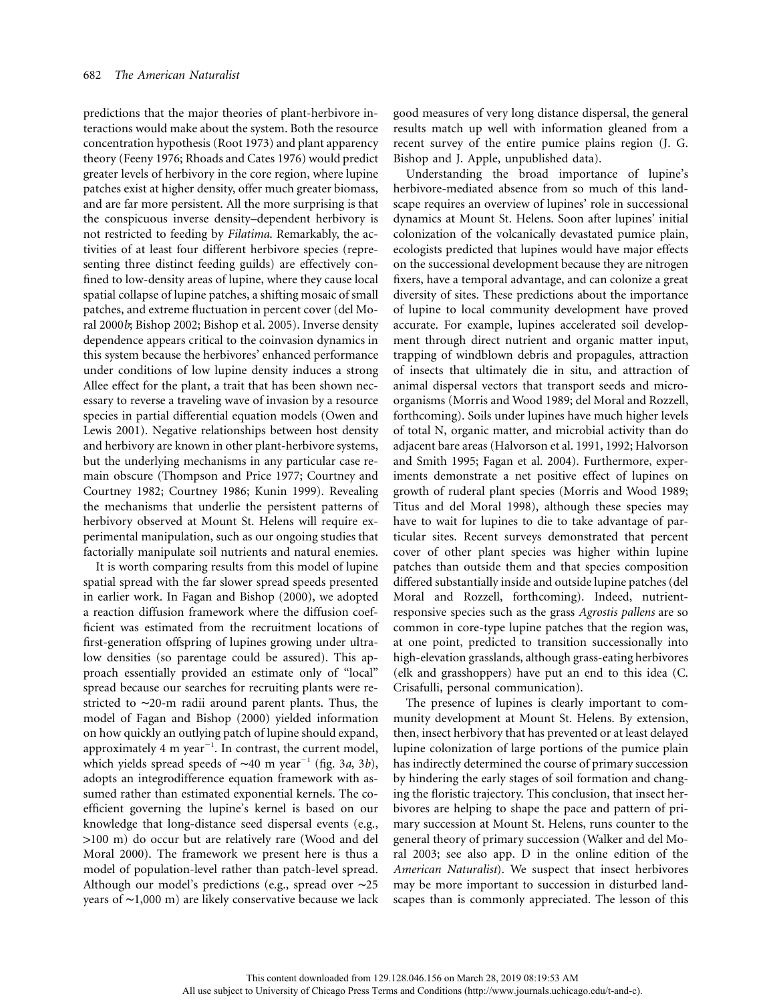predictions that the major theories of plant-herbivore interactions would make about the system. Both the resource concentration hypothesis (Root 1973) and plant apparency theory (Feeny 1976; Rhoads and Cates 1976) would predict greater levels of herbivory in the core region, where lupine patches exist at higher density, offer much greater biomass, and are far more persistent. All the more surprising is that the conspicuous inverse density–dependent herbivory is not restricted to feeding by *Filatima*. Remarkably, the activities of at least four different herbivore species (representing three distinct feeding guilds) are effectively confined to low-density areas of lupine, where they cause local spatial collapse of lupine patches, a shifting mosaic of small patches, and extreme fluctuation in percent cover (del Moral 2000*b*; Bishop 2002; Bishop et al. 2005). Inverse density dependence appears critical to the coinvasion dynamics in this system because the herbivores' enhanced performance under conditions of low lupine density induces a strong Allee effect for the plant, a trait that has been shown necessary to reverse a traveling wave of invasion by a resource species in partial differential equation models (Owen and Lewis 2001). Negative relationships between host density and herbivory are known in other plant-herbivore systems, but the underlying mechanisms in any particular case remain obscure (Thompson and Price 1977; Courtney and Courtney 1982; Courtney 1986; Kunin 1999). Revealing the mechanisms that underlie the persistent patterns of herbivory observed at Mount St. Helens will require experimental manipulation, such as our ongoing studies that factorially manipulate soil nutrients and natural enemies.

It is worth comparing results from this model of lupine spatial spread with the far slower spread speeds presented in earlier work. In Fagan and Bishop (2000), we adopted a reaction diffusion framework where the diffusion coefficient was estimated from the recruitment locations of first-generation offspring of lupines growing under ultralow densities (so parentage could be assured). This approach essentially provided an estimate only of "local" spread because our searches for recruiting plants were restricted to ∼20-m radii around parent plants. Thus, the model of Fagan and Bishop (2000) yielded information on how quickly an outlying patch of lupine should expand, approximately  $4 \text{ m year}^{-1}$ . In contrast, the current model, which yields spread speeds of ~40 m year<sup>-1</sup> (fig. 3*a*, 3*b*), adopts an integrodifference equation framework with assumed rather than estimated exponential kernels. The coefficient governing the lupine's kernel is based on our knowledge that long-distance seed dispersal events (e.g., 1100 m) do occur but are relatively rare (Wood and del Moral 2000). The framework we present here is thus a model of population-level rather than patch-level spread. Although our model's predictions (e.g., spread over ∼25 years of ∼1,000 m) are likely conservative because we lack good measures of very long distance dispersal, the general results match up well with information gleaned from a recent survey of the entire pumice plains region (J. G. Bishop and J. Apple, unpublished data).

Understanding the broad importance of lupine's herbivore-mediated absence from so much of this landscape requires an overview of lupines' role in successional dynamics at Mount St. Helens. Soon after lupines' initial colonization of the volcanically devastated pumice plain, ecologists predicted that lupines would have major effects on the successional development because they are nitrogen fixers, have a temporal advantage, and can colonize a great diversity of sites. These predictions about the importance of lupine to local community development have proved accurate. For example, lupines accelerated soil development through direct nutrient and organic matter input, trapping of windblown debris and propagules, attraction of insects that ultimately die in situ, and attraction of animal dispersal vectors that transport seeds and microorganisms (Morris and Wood 1989; del Moral and Rozzell, forthcoming). Soils under lupines have much higher levels of total N, organic matter, and microbial activity than do adjacent bare areas (Halvorson et al. 1991, 1992; Halvorson and Smith 1995; Fagan et al. 2004). Furthermore, experiments demonstrate a net positive effect of lupines on growth of ruderal plant species (Morris and Wood 1989; Titus and del Moral 1998), although these species may have to wait for lupines to die to take advantage of particular sites. Recent surveys demonstrated that percent cover of other plant species was higher within lupine patches than outside them and that species composition differed substantially inside and outside lupine patches (del Moral and Rozzell, forthcoming). Indeed, nutrientresponsive species such as the grass *Agrostis pallens* are so common in core-type lupine patches that the region was, at one point, predicted to transition successionally into high-elevation grasslands, although grass-eating herbivores (elk and grasshoppers) have put an end to this idea (C. Crisafulli, personal communication).

The presence of lupines is clearly important to community development at Mount St. Helens. By extension, then, insect herbivory that has prevented or at least delayed lupine colonization of large portions of the pumice plain has indirectly determined the course of primary succession by hindering the early stages of soil formation and changing the floristic trajectory. This conclusion, that insect herbivores are helping to shape the pace and pattern of primary succession at Mount St. Helens, runs counter to the general theory of primary succession (Walker and del Moral 2003; see also app. D in the online edition of the *American Naturalist*). We suspect that insect herbivores may be more important to succession in disturbed landscapes than is commonly appreciated. The lesson of this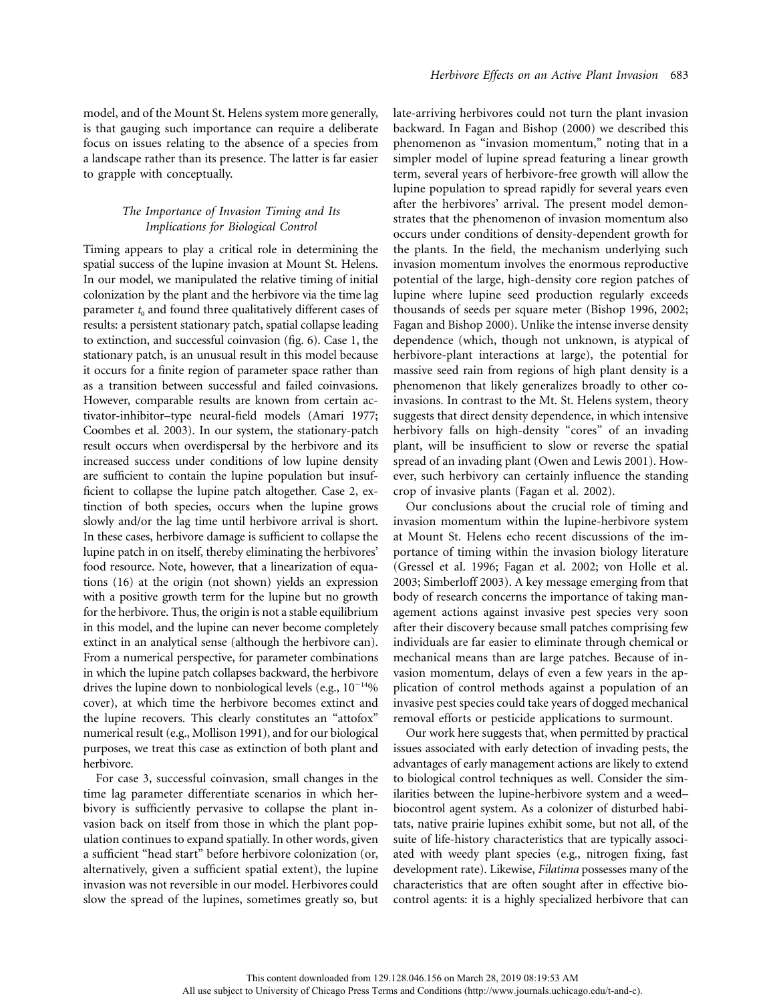model, and of the Mount St. Helens system more generally, is that gauging such importance can require a deliberate focus on issues relating to the absence of a species from a landscape rather than its presence. The latter is far easier to grapple with conceptually.

## *The Importance of Invasion Timing and Its Implications for Biological Control*

Timing appears to play a critical role in determining the spatial success of the lupine invasion at Mount St. Helens. In our model, we manipulated the relative timing of initial colonization by the plant and the herbivore via the time lag parameter  $t_0$  and found three qualitatively different cases of results: a persistent stationary patch, spatial collapse leading to extinction, and successful coinvasion (fig. 6). Case 1, the stationary patch, is an unusual result in this model because it occurs for a finite region of parameter space rather than as a transition between successful and failed coinvasions. However, comparable results are known from certain activator-inhibitor–type neural-field models (Amari 1977; Coombes et al. 2003). In our system, the stationary-patch result occurs when overdispersal by the herbivore and its increased success under conditions of low lupine density are sufficient to contain the lupine population but insufficient to collapse the lupine patch altogether. Case 2, extinction of both species, occurs when the lupine grows slowly and/or the lag time until herbivore arrival is short. In these cases, herbivore damage is sufficient to collapse the lupine patch in on itself, thereby eliminating the herbivores' food resource. Note, however, that a linearization of equations (16) at the origin (not shown) yields an expression with a positive growth term for the lupine but no growth for the herbivore. Thus, the origin is not a stable equilibrium in this model, and the lupine can never become completely extinct in an analytical sense (although the herbivore can). From a numerical perspective, for parameter combinations in which the lupine patch collapses backward, the herbivore drives the lupine down to nonbiological levels (e.g.,  $10^{-14}\%$ cover), at which time the herbivore becomes extinct and the lupine recovers. This clearly constitutes an "attofox" numerical result (e.g., Mollison 1991), and for our biological purposes, we treat this case as extinction of both plant and herbivore.

For case 3, successful coinvasion, small changes in the time lag parameter differentiate scenarios in which herbivory is sufficiently pervasive to collapse the plant invasion back on itself from those in which the plant population continues to expand spatially. In other words, given a sufficient "head start" before herbivore colonization (or, alternatively, given a sufficient spatial extent), the lupine invasion was not reversible in our model. Herbivores could slow the spread of the lupines, sometimes greatly so, but late-arriving herbivores could not turn the plant invasion backward. In Fagan and Bishop (2000) we described this phenomenon as "invasion momentum," noting that in a simpler model of lupine spread featuring a linear growth term, several years of herbivore-free growth will allow the lupine population to spread rapidly for several years even after the herbivores' arrival. The present model demonstrates that the phenomenon of invasion momentum also occurs under conditions of density-dependent growth for the plants. In the field, the mechanism underlying such invasion momentum involves the enormous reproductive potential of the large, high-density core region patches of lupine where lupine seed production regularly exceeds thousands of seeds per square meter (Bishop 1996, 2002; Fagan and Bishop 2000). Unlike the intense inverse density dependence (which, though not unknown, is atypical of herbivore-plant interactions at large), the potential for massive seed rain from regions of high plant density is a phenomenon that likely generalizes broadly to other coinvasions. In contrast to the Mt. St. Helens system, theory suggests that direct density dependence, in which intensive herbivory falls on high-density "cores" of an invading plant, will be insufficient to slow or reverse the spatial spread of an invading plant (Owen and Lewis 2001). However, such herbivory can certainly influence the standing crop of invasive plants (Fagan et al. 2002).

Our conclusions about the crucial role of timing and invasion momentum within the lupine-herbivore system at Mount St. Helens echo recent discussions of the importance of timing within the invasion biology literature (Gressel et al. 1996; Fagan et al. 2002; von Holle et al. 2003; Simberloff 2003). A key message emerging from that body of research concerns the importance of taking management actions against invasive pest species very soon after their discovery because small patches comprising few individuals are far easier to eliminate through chemical or mechanical means than are large patches. Because of invasion momentum, delays of even a few years in the application of control methods against a population of an invasive pest species could take years of dogged mechanical removal efforts or pesticide applications to surmount.

Our work here suggests that, when permitted by practical issues associated with early detection of invading pests, the advantages of early management actions are likely to extend to biological control techniques as well. Consider the similarities between the lupine-herbivore system and a weed– biocontrol agent system. As a colonizer of disturbed habitats, native prairie lupines exhibit some, but not all, of the suite of life-history characteristics that are typically associated with weedy plant species (e.g., nitrogen fixing, fast development rate). Likewise, *Filatima* possesses many of the characteristics that are often sought after in effective biocontrol agents: it is a highly specialized herbivore that can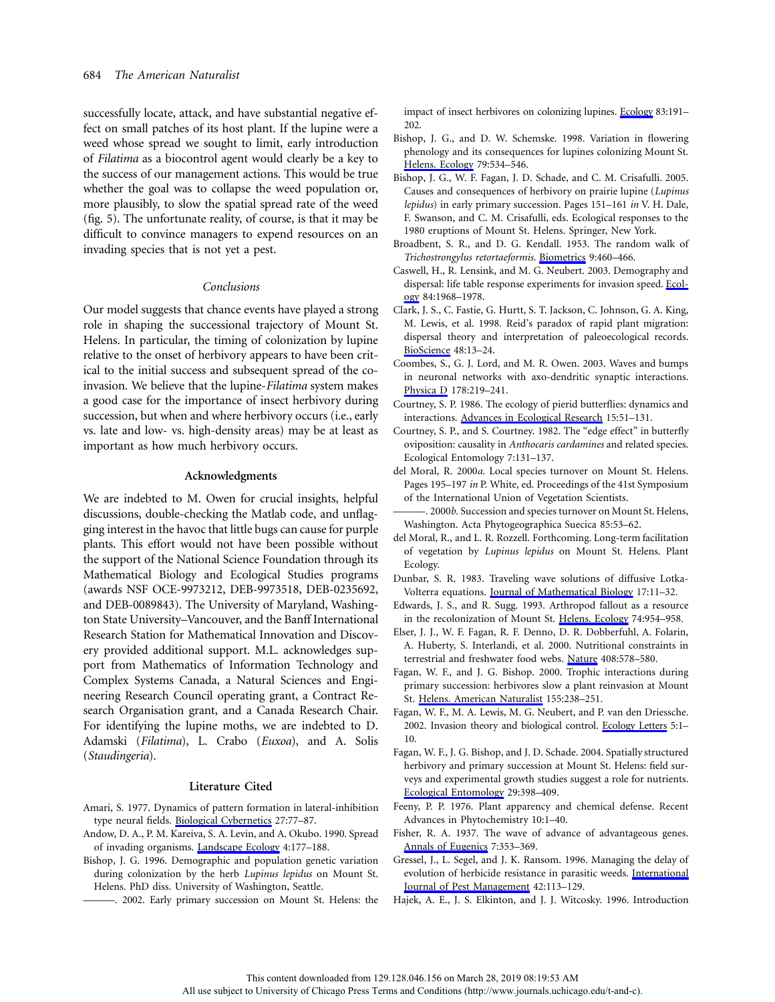successfully locate, attack, and have substantial negative effect on small patches of its host plant. If the lupine were a weed whose spread we sought to limit, early introduction of *Filatima* as a biocontrol agent would clearly be a key to the success of our management actions. This would be true whether the goal was to collapse the weed population or, more plausibly, to slow the spatial spread rate of the weed (fig. 5). The unfortunate reality, of course, is that it may be difficult to convince managers to expend resources on an invading species that is not yet a pest.

#### *Conclusions*

Our model suggests that chance events have played a strong role in shaping the successional trajectory of Mount St. Helens. In particular, the timing of colonization by lupine relative to the onset of herbivory appears to have been critical to the initial success and subsequent spread of the coinvasion. We believe that the lupine-*Filatima* system makes a good case for the importance of insect herbivory during succession, but when and where herbivory occurs (i.e., early vs. late and low- vs. high-density areas) may be at least as important as how much herbivory occurs.

#### **Acknowledgments**

We are indebted to M. Owen for crucial insights, helpful discussions, double-checking the Matlab code, and unflagging interest in the havoc that little bugs can cause for purple plants. This effort would not have been possible without the support of the National Science Foundation through its Mathematical Biology and Ecological Studies programs (awards NSF OCE-9973212, DEB-9973518, DEB-0235692, and DEB-0089843). The University of Maryland, Washington State University–Vancouver, and the Banff International Research Station for Mathematical Innovation and Discovery provided additional support. M.L. acknowledges support from Mathematics of Information Technology and Complex Systems Canada, a Natural Sciences and Engineering Research Council operating grant, a Contract Research Organisation grant, and a Canada Research Chair. For identifying the lupine moths, we are indebted to D. Adamski (*Filatima*), L. Crabo (*Euxoa*), and A. Solis (*Staudingeria*).

#### **Literature Cited**

- Amari, S. 1977. Dynamics of pattern formation in lateral-inhibition type neural fields. [Biological Cybernetics](https://www.journals.uchicago.edu/action/showLinks?doi=10.1086%2F497621&pmid=911931&crossref=10.1007%2FBF00337259&citationId=p_1) 27:77–87.
- Andow, D. A., P. M. Kareiva, S. A. Levin, and A. Okubo. 1990. Spread of invading organisms. [Landscape Ecology](https://www.journals.uchicago.edu/action/showLinks?doi=10.1086%2F497621&crossref=10.1007%2FBF00132860&citationId=p_2) 4:177–188.
- Bishop, J. G. 1996. Demographic and population genetic variation during colonization by the herb *Lupinus lepidus* on Mount St. Helens. PhD diss. University of Washington, Seattle.
- ———. 2002. Early primary succession on Mount St. Helens: the

impact of insect herbivores on colonizing lupines. [Ecology](https://www.journals.uchicago.edu/action/showLinks?doi=10.1086%2F497621&crossref=10.1890%2F0012-9658%282002%29083%5B0191%3AEPSOMS%5D2.0.CO%3B2&citationId=p_4) 83:191– 202.

- Bishop, J. G., and D. W. Schemske. 1998. Variation in flowering phenology and its consequences for lupines colonizing Mount St. [Helens. Ecology](https://www.journals.uchicago.edu/action/showLinks?doi=10.1086%2F497621&crossref=10.1890%2F0012-9658%281998%29079%5B0534%3AVIFPAI%5D2.0.CO%3B2&citationId=p_5) 79:534–546.
- Bishop, J. G., W. F. Fagan, J. D. Schade, and C. M. Crisafulli. 2005. Causes and consequences of herbivory on prairie lupine (*Lupinus lepidus*) in early primary succession. Pages 151–161 *in* V. H. Dale, F. Swanson, and C. M. Crisafulli, eds. Ecological responses to the 1980 eruptions of Mount St. Helens. Springer, New York.
- Broadbent, S. R., and D. G. Kendall. 1953. The random walk of *Trichostrongylus retortaeformis*. [Biometrics](https://www.journals.uchicago.edu/action/showLinks?doi=10.1086%2F497621&crossref=10.2307%2F3001437&citationId=p_7) 9:460–466.
- Caswell, H., R. Lensink, and M. G. Neubert. 2003. Demography and dispersal: life table response experiments for invasion speed. [Ecol](https://www.journals.uchicago.edu/action/showLinks?doi=10.1086%2F497621&crossref=10.1890%2F02-0100&citationId=p_8)[ogy](https://www.journals.uchicago.edu/action/showLinks?doi=10.1086%2F497621&crossref=10.1890%2F02-0100&citationId=p_8) 84:1968–1978.
- Clark, J. S., C. Fastie, G. Hurtt, S. T. Jackson, C. Johnson, G. A. King, M. Lewis, et al. 1998. Reid's paradox of rapid plant migration: dispersal theory and interpretation of paleoecological records. [BioScience](https://www.journals.uchicago.edu/action/showLinks?doi=10.1086%2F497621&crossref=10.2307%2F1313224&citationId=p_9) 48:13–24.
- Coombes, S., G. J. Lord, and M. R. Owen. 2003. Waves and bumps in neuronal networks with axo-dendritic synaptic interactions. [Physica D](https://www.journals.uchicago.edu/action/showLinks?doi=10.1086%2F497621&crossref=10.1016%2FS0167-2789%2803%2900002-2&citationId=p_10) 178:219–241.
- Courtney, S. P. 1986. The ecology of pierid butterflies: dynamics and interactions. [Advances in Ecological Research](https://www.journals.uchicago.edu/action/showLinks?doi=10.1086%2F497621&crossref=10.1016%2FS0065-2504%2808%2960120-8&citationId=p_11) 15:51–131.
- Courtney, S. P., and S. Courtney. 1982. The "edge effect" in butterfly oviposition: causality in *Anthocaris cardamines* and related species. Ecological Entomology 7:131–137.
- del Moral, R. 2000*a*. Local species turnover on Mount St. Helens. Pages 195–197 *in* P. White, ed. Proceedings of the 41st Symposium of the International Union of Vegetation Scientists.
- -. 2000*b*. Succession and species turnover on Mount St. Helens, Washington. Acta Phytogeographica Suecica 85:53–62.
- del Moral, R., and L. R. Rozzell. Forthcoming. Long-term facilitation of vegetation by *Lupinus lepidus* on Mount St. Helens. Plant Ecology.
- Dunbar, S. R. 1983. Traveling wave solutions of diffusive Lotka-Volterra equations. [Journal of Mathematical Biology](https://www.journals.uchicago.edu/action/showLinks?doi=10.1086%2F497621&crossref=10.1007%2FBF00276112&citationId=p_16) 17:11–32.
- Edwards, J. S., and R. Sugg. 1993. Arthropod fallout as a resource in the recolonization of Mount St. [Helens. Ecology](https://www.journals.uchicago.edu/action/showLinks?doi=10.1086%2F497621&crossref=10.2307%2F1940819&citationId=p_17) 74:954–958.
- Elser, J. J., W. F. Fagan, R. F. Denno, D. R. Dobberfuhl, A. Folarin, A. Huberty, S. Interlandi, et al. 2000. Nutritional constraints in terrestrial and freshwater food webs. [Nature](https://www.journals.uchicago.edu/action/showLinks?doi=10.1086%2F497621&pmid=11117743&crossref=10.1038%2F35046058&citationId=p_18) 408:578–580.
- Fagan, W. F., and J. G. Bishop. 2000. Trophic interactions during primary succession: herbivores slow a plant reinvasion at Mount St. [Helens. American Naturalist](https://www.journals.uchicago.edu/action/showLinks?doi=10.1086%2F497621&system=10.1086%2F303320&citationId=p_19) 155:238–251.
- Fagan, W. F., M. A. Lewis, M. G. Neubert, and P. van den Driessche. 2002. Invasion theory and biological control. [Ecology Letters](https://www.journals.uchicago.edu/action/showLinks?doi=10.1086%2F497621&crossref=10.1046%2Fj.1461-0248.2002.0_285.x&citationId=p_21) 5:1– 10.
- Fagan, W. F., J. G. Bishop, and J. D. Schade. 2004. Spatially structured herbivory and primary succession at Mount St. Helens: field surveys and experimental growth studies suggest a role for nutrients. [Ecological Entomology](https://www.journals.uchicago.edu/action/showLinks?doi=10.1086%2F497621&crossref=10.1111%2Fj.0307-6946.2004.00616.x&citationId=p_22) 29:398–409.
- Feeny, P. P. 1976. Plant apparency and chemical defense. Recent Advances in Phytochemistry 10:1–40.
- Fisher, R. A. 1937. The wave of advance of advantageous genes. [Annals of Eugenics](https://www.journals.uchicago.edu/action/showLinks?doi=10.1086%2F497621&crossref=10.1111%2Fj.1469-1809.1937.tb02153.x&citationId=p_24) 7:353–369.
- Gressel, J., L. Segel, and J. K. Ransom. 1996. Managing the delay of evolution of herbicide resistance in parasitic weeds. [International](https://www.journals.uchicago.edu/action/showLinks?doi=10.1086%2F497621&crossref=10.1080%2F09670879609371981&citationId=p_25) [Journal of Pest Management](https://www.journals.uchicago.edu/action/showLinks?doi=10.1086%2F497621&crossref=10.1080%2F09670879609371981&citationId=p_25) 42:113–129.
- Hajek, A. E., J. S. Elkinton, and J. J. Witcosky. 1996. Introduction